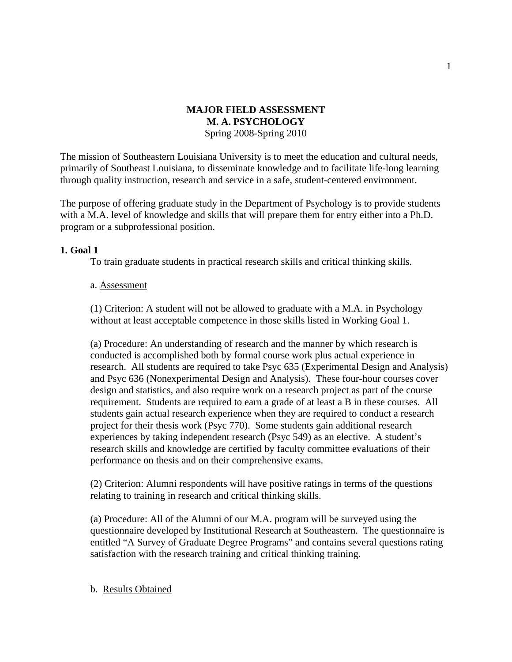## **MAJOR FIELD ASSESSMENT M. A. PSYCHOLOGY**  Spring 2008-Spring 2010

The mission of Southeastern Louisiana University is to meet the education and cultural needs, primarily of Southeast Louisiana, to disseminate knowledge and to facilitate life-long learning through quality instruction, research and service in a safe, student-centered environment.

The purpose of offering graduate study in the Department of Psychology is to provide students with a M.A. level of knowledge and skills that will prepare them for entry either into a Ph.D. program or a subprofessional position.

## **1. Goal 1**

To train graduate students in practical research skills and critical thinking skills.

### a. Assessment

(1) Criterion: A student will not be allowed to graduate with a M.A. in Psychology without at least acceptable competence in those skills listed in Working Goal 1.

(a) Procedure: An understanding of research and the manner by which research is conducted is accomplished both by formal course work plus actual experience in research. All students are required to take Psyc 635 (Experimental Design and Analysis) and Psyc 636 (Nonexperimental Design and Analysis). These four-hour courses cover design and statistics, and also require work on a research project as part of the course requirement. Students are required to earn a grade of at least a B in these courses. All students gain actual research experience when they are required to conduct a research project for their thesis work (Psyc 770). Some students gain additional research experiences by taking independent research (Psyc 549) as an elective. A student's research skills and knowledge are certified by faculty committee evaluations of their performance on thesis and on their comprehensive exams.

(2) Criterion: Alumni respondents will have positive ratings in terms of the questions relating to training in research and critical thinking skills.

(a) Procedure: All of the Alumni of our M.A. program will be surveyed using the questionnaire developed by Institutional Research at Southeastern. The questionnaire is entitled "A Survey of Graduate Degree Programs" and contains several questions rating satisfaction with the research training and critical thinking training.

### b. Results Obtained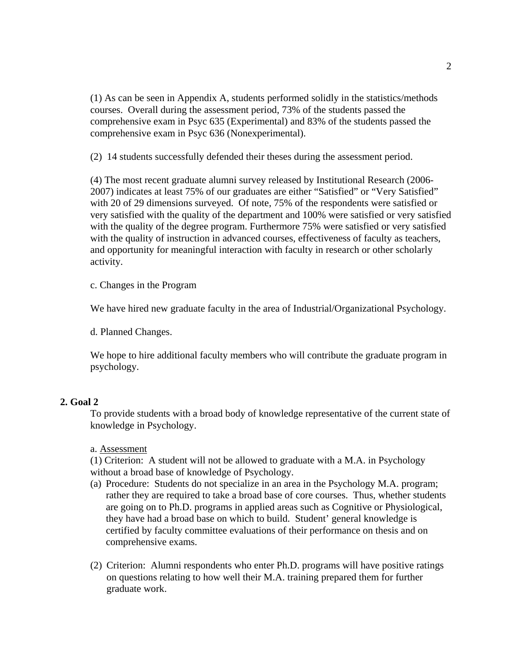(1) As can be seen in Appendix A, students performed solidly in the statistics/methods courses. Overall during the assessment period, 73% of the students passed the comprehensive exam in Psyc 635 (Experimental) and 83% of the students passed the comprehensive exam in Psyc 636 (Nonexperimental).

(2) 14 students successfully defended their theses during the assessment period.

(4) The most recent graduate alumni survey released by Institutional Research (2006- 2007) indicates at least 75% of our graduates are either "Satisfied" or "Very Satisfied" with 20 of 29 dimensions surveyed. Of note, 75% of the respondents were satisfied or very satisfied with the quality of the department and 100% were satisfied or very satisfied with the quality of the degree program. Furthermore 75% were satisfied or very satisfied with the quality of instruction in advanced courses, effectiveness of faculty as teachers, and opportunity for meaningful interaction with faculty in research or other scholarly activity.

c. Changes in the Program

We have hired new graduate faculty in the area of Industrial/Organizational Psychology.

d. Planned Changes.

We hope to hire additional faculty members who will contribute the graduate program in psychology.

### **2. Goal 2**

To provide students with a broad body of knowledge representative of the current state of knowledge in Psychology.

a. Assessment

(1) Criterion: A student will not be allowed to graduate with a M.A. in Psychology without a broad base of knowledge of Psychology.

- (a) Procedure: Students do not specialize in an area in the Psychology M.A. program; rather they are required to take a broad base of core courses. Thus, whether students are going on to Ph.D. programs in applied areas such as Cognitive or Physiological, they have had a broad base on which to build. Student' general knowledge is certified by faculty committee evaluations of their performance on thesis and on comprehensive exams.
- (2) Criterion: Alumni respondents who enter Ph.D. programs will have positive ratings on questions relating to how well their M.A. training prepared them for further graduate work.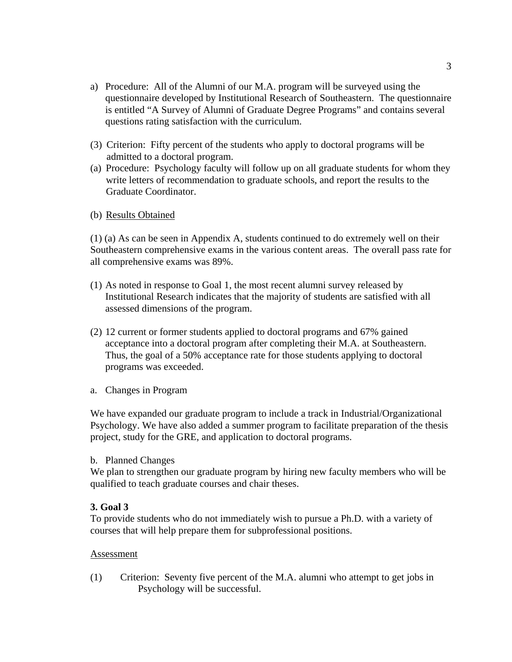- a) Procedure: All of the Alumni of our M.A. program will be surveyed using the questionnaire developed by Institutional Research of Southeastern. The questionnaire is entitled "A Survey of Alumni of Graduate Degree Programs" and contains several questions rating satisfaction with the curriculum.
- (3) Criterion: Fifty percent of the students who apply to doctoral programs will be admitted to a doctoral program.
- (a) Procedure: Psychology faculty will follow up on all graduate students for whom they write letters of recommendation to graduate schools, and report the results to the Graduate Coordinator.
- (b) Results Obtained

(1) (a) As can be seen in Appendix A, students continued to do extremely well on their Southeastern comprehensive exams in the various content areas. The overall pass rate for all comprehensive exams was 89%.

- (1) As noted in response to Goal 1, the most recent alumni survey released by Institutional Research indicates that the majority of students are satisfied with all assessed dimensions of the program.
- (2) 12 current or former students applied to doctoral programs and 67% gained acceptance into a doctoral program after completing their M.A. at Southeastern. Thus, the goal of a 50% acceptance rate for those students applying to doctoral programs was exceeded.
- a. Changes in Program

We have expanded our graduate program to include a track in Industrial/Organizational Psychology. We have also added a summer program to facilitate preparation of the thesis project, study for the GRE, and application to doctoral programs.

### b. Planned Changes

We plan to strengthen our graduate program by hiring new faculty members who will be qualified to teach graduate courses and chair theses.

### **3. Goal 3**

To provide students who do not immediately wish to pursue a Ph.D. with a variety of courses that will help prepare them for subprofessional positions.

### Assessment

(1) Criterion: Seventy five percent of the M.A. alumni who attempt to get jobs in Psychology will be successful.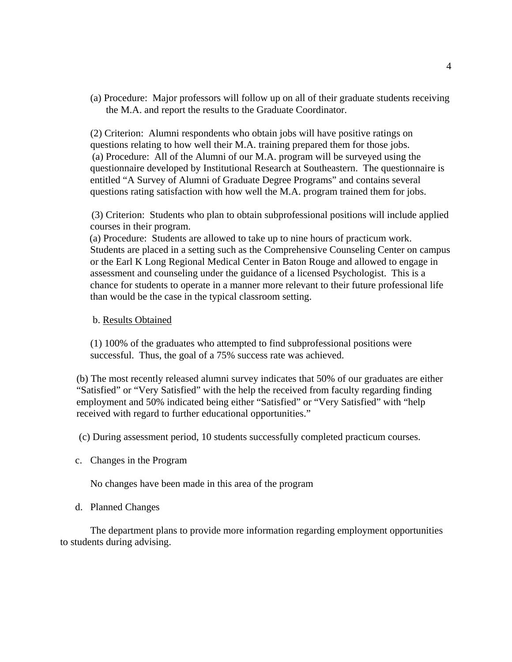(a) Procedure: Major professors will follow up on all of their graduate students receiving the M.A. and report the results to the Graduate Coordinator.

(2) Criterion: Alumni respondents who obtain jobs will have positive ratings on questions relating to how well their M.A. training prepared them for those jobs. (a) Procedure: All of the Alumni of our M.A. program will be surveyed using the questionnaire developed by Institutional Research at Southeastern. The questionnaire is entitled "A Survey of Alumni of Graduate Degree Programs" and contains several questions rating satisfaction with how well the M.A. program trained them for jobs.

 (3) Criterion: Students who plan to obtain subprofessional positions will include applied courses in their program.

 (a) Procedure: Students are allowed to take up to nine hours of practicum work. Students are placed in a setting such as the Comprehensive Counseling Center on campus or the Earl K Long Regional Medical Center in Baton Rouge and allowed to engage in assessment and counseling under the guidance of a licensed Psychologist. This is a chance for students to operate in a manner more relevant to their future professional life than would be the case in the typical classroom setting.

#### b. Results Obtained

(1) 100% of the graduates who attempted to find subprofessional positions were successful. Thus, the goal of a 75% success rate was achieved.

(b) The most recently released alumni survey indicates that 50% of our graduates are either "Satisfied" or "Very Satisfied" with the help the received from faculty regarding finding employment and 50% indicated being either "Satisfied" or "Very Satisfied" with "help received with regard to further educational opportunities."

(c) During assessment period, 10 students successfully completed practicum courses.

c. Changes in the Program

No changes have been made in this area of the program

d. Planned Changes

The department plans to provide more information regarding employment opportunities to students during advising.